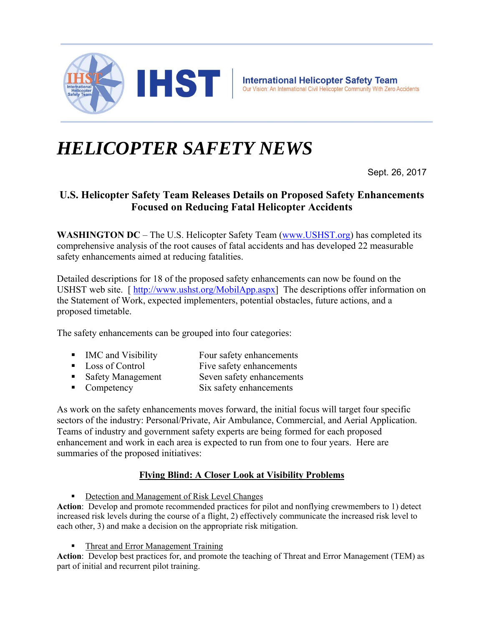

# *HELICOPTER SAFETY NEWS*

Sept. 26, 2017

# **U.S. Helicopter Safety Team Releases Details on Proposed Safety Enhancements Focused on Reducing Fatal Helicopter Accidents**

**WASHINGTON DC** – The U.S. Helicopter Safety Team (www.USHST.org) has completed its comprehensive analysis of the root causes of fatal accidents and has developed 22 measurable safety enhancements aimed at reducing fatalities.

Detailed descriptions for 18 of the proposed safety enhancements can now be found on the USHST web site. [ http://www.ushst.org/MobilApp.aspx] The descriptions offer information on the Statement of Work, expected implementers, potential obstacles, future actions, and a proposed timetable.

The safety enhancements can be grouped into four categories:

- IMC and Visibility Four safety enhancements
- Loss of Control Five safety enhancements
- Safety Management Seven safety enhancements
- Competency Six safety enhancements

As work on the safety enhancements moves forward, the initial focus will target four specific sectors of the industry: Personal/Private, Air Ambulance, Commercial, and Aerial Application. Teams of industry and government safety experts are being formed for each proposed enhancement and work in each area is expected to run from one to four years. Here are summaries of the proposed initiatives:

## **Flying Blind: A Closer Look at Visibility Problems**

**Detection and Management of Risk Level Changes** 

**Action**: Develop and promote recommended practices for pilot and nonflying crewmembers to 1) detect increased risk levels during the course of a flight, 2) effectively communicate the increased risk level to each other, 3) and make a decision on the appropriate risk mitigation.

Threat and Error Management Training

**Action**: Develop best practices for, and promote the teaching of Threat and Error Management (TEM) as part of initial and recurrent pilot training.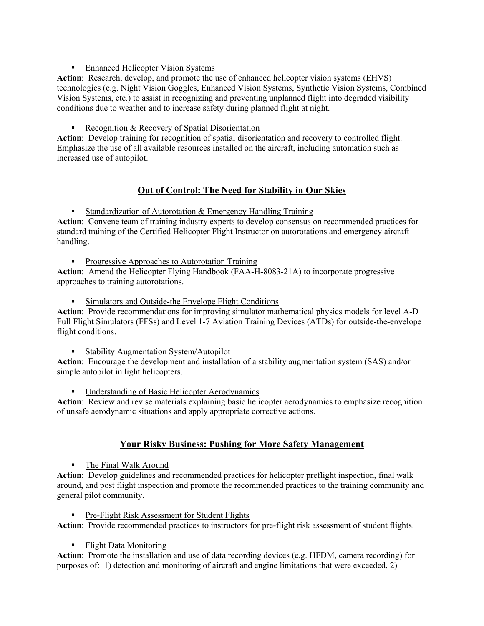## **Enhanced Helicopter Vision Systems**

**Action**: Research, develop, and promote the use of enhanced helicopter vision systems (EHVS) technologies (e.g. Night Vision Goggles, Enhanced Vision Systems, Synthetic Vision Systems, Combined Vision Systems, etc.) to assist in recognizing and preventing unplanned flight into degraded visibility conditions due to weather and to increase safety during planned flight at night.

## Recognition & Recovery of Spatial Disorientation

**Action**: Develop training for recognition of spatial disorientation and recovery to controlled flight. Emphasize the use of all available resources installed on the aircraft, including automation such as increased use of autopilot.

## **Out of Control: The Need for Stability in Our Skies**

**Standardization of Autorotation & Emergency Handling Training** 

**Action**: Convene team of training industry experts to develop consensus on recommended practices for standard training of the Certified Helicopter Flight Instructor on autorotations and emergency aircraft handling.

**Progressive Approaches to Autorotation Training** 

**Action**: Amend the Helicopter Flying Handbook (FAA-H-8083-21A) to incorporate progressive approaches to training autorotations.

**Simulators and Outside-the Envelope Flight Conditions** 

**Action**: Provide recommendations for improving simulator mathematical physics models for level A-D Full Flight Simulators (FFSs) and Level 1-7 Aviation Training Devices (ATDs) for outside-the-envelope flight conditions.

**Stability Augmentation System/Autopilot** 

**Action**: Encourage the development and installation of a stability augmentation system (SAS) and/or simple autopilot in light helicopters.

**Understanding of Basic Helicopter Aerodynamics** 

**Action**: Review and revise materials explaining basic helicopter aerodynamics to emphasize recognition of unsafe aerodynamic situations and apply appropriate corrective actions.

## **Your Risky Business: Pushing for More Safety Management**

■ The Final Walk Around

**Action**: Develop guidelines and recommended practices for helicopter preflight inspection, final walk around, and post flight inspection and promote the recommended practices to the training community and general pilot community.

Pre-Flight Risk Assessment for Student Flights

**Action**: Provide recommended practices to instructors for pre-flight risk assessment of student flights.

**Flight Data Monitoring** 

**Action**: Promote the installation and use of data recording devices (e.g. HFDM, camera recording) for purposes of: 1) detection and monitoring of aircraft and engine limitations that were exceeded, 2)